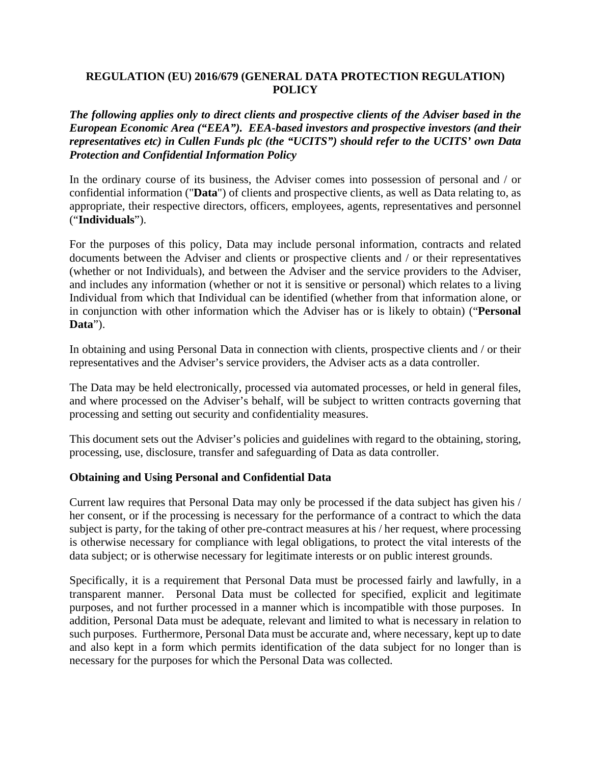### **REGULATION (EU) 2016/679 (GENERAL DATA PROTECTION REGULATION) POLICY**

*The following applies only to direct clients and prospective clients of the Adviser based in the European Economic Area ("EEA"). EEA-based investors and prospective investors (and their representatives etc) in Cullen Funds plc (the "UCITS") should refer to the UCITS' own Data Protection and Confidential Information Policy* 

In the ordinary course of its business, the Adviser comes into possession of personal and / or confidential information ("**Data**") of clients and prospective clients, as well as Data relating to, as appropriate, their respective directors, officers, employees, agents, representatives and personnel ("**Individuals**").

For the purposes of this policy, Data may include personal information, contracts and related documents between the Adviser and clients or prospective clients and / or their representatives (whether or not Individuals), and between the Adviser and the service providers to the Adviser, and includes any information (whether or not it is sensitive or personal) which relates to a living Individual from which that Individual can be identified (whether from that information alone, or in conjunction with other information which the Adviser has or is likely to obtain) ("**Personal Data**").

In obtaining and using Personal Data in connection with clients, prospective clients and / or their representatives and the Adviser's service providers, the Adviser acts as a data controller.

The Data may be held electronically, processed via automated processes, or held in general files, and where processed on the Adviser's behalf, will be subject to written contracts governing that processing and setting out security and confidentiality measures.

This document sets out the Adviser's policies and guidelines with regard to the obtaining, storing, processing, use, disclosure, transfer and safeguarding of Data as data controller.

### **Obtaining and Using Personal and Confidential Data**

Current law requires that Personal Data may only be processed if the data subject has given his / her consent, or if the processing is necessary for the performance of a contract to which the data subject is party, for the taking of other pre-contract measures at his / her request, where processing is otherwise necessary for compliance with legal obligations, to protect the vital interests of the data subject; or is otherwise necessary for legitimate interests or on public interest grounds.

Specifically, it is a requirement that Personal Data must be processed fairly and lawfully, in a transparent manner. Personal Data must be collected for specified, explicit and legitimate purposes, and not further processed in a manner which is incompatible with those purposes. In addition, Personal Data must be adequate, relevant and limited to what is necessary in relation to such purposes. Furthermore, Personal Data must be accurate and, where necessary, kept up to date and also kept in a form which permits identification of the data subject for no longer than is necessary for the purposes for which the Personal Data was collected.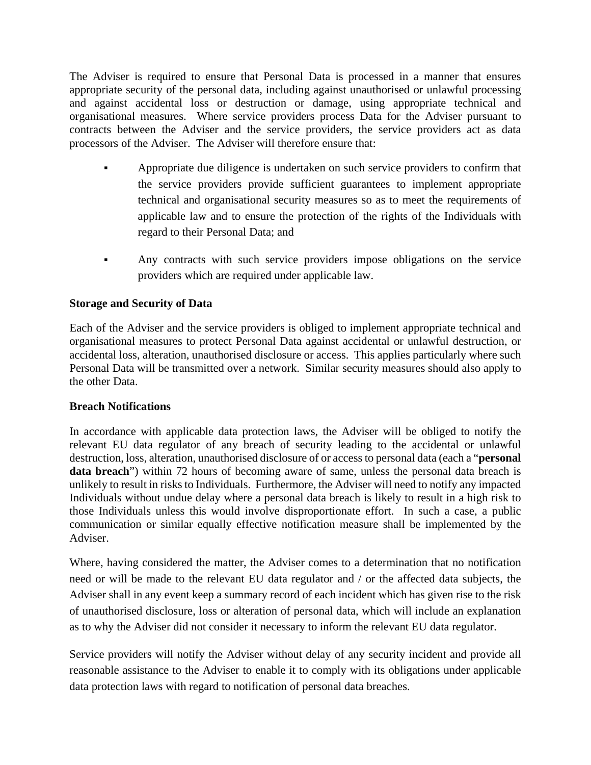The Adviser is required to ensure that Personal Data is processed in a manner that ensures appropriate security of the personal data, including against unauthorised or unlawful processing and against accidental loss or destruction or damage, using appropriate technical and organisational measures. Where service providers process Data for the Adviser pursuant to contracts between the Adviser and the service providers, the service providers act as data processors of the Adviser. The Adviser will therefore ensure that:

- Appropriate due diligence is undertaken on such service providers to confirm that the service providers provide sufficient guarantees to implement appropriate technical and organisational security measures so as to meet the requirements of applicable law and to ensure the protection of the rights of the Individuals with regard to their Personal Data; and
- Any contracts with such service providers impose obligations on the service providers which are required under applicable law.

## **Storage and Security of Data**

Each of the Adviser and the service providers is obliged to implement appropriate technical and organisational measures to protect Personal Data against accidental or unlawful destruction, or accidental loss, alteration, unauthorised disclosure or access. This applies particularly where such Personal Data will be transmitted over a network. Similar security measures should also apply to the other Data.

### **Breach Notifications**

In accordance with applicable data protection laws, the Adviser will be obliged to notify the relevant EU data regulator of any breach of security leading to the accidental or unlawful destruction, loss, alteration, unauthorised disclosure of or access to personal data (each a "**personal data breach**") within 72 hours of becoming aware of same, unless the personal data breach is unlikely to result in risks to Individuals. Furthermore, the Adviser will need to notify any impacted Individuals without undue delay where a personal data breach is likely to result in a high risk to those Individuals unless this would involve disproportionate effort. In such a case, a public communication or similar equally effective notification measure shall be implemented by the Adviser.

Where, having considered the matter, the Adviser comes to a determination that no notification need or will be made to the relevant EU data regulator and / or the affected data subjects, the Adviser shall in any event keep a summary record of each incident which has given rise to the risk of unauthorised disclosure, loss or alteration of personal data, which will include an explanation as to why the Adviser did not consider it necessary to inform the relevant EU data regulator.

Service providers will notify the Adviser without delay of any security incident and provide all reasonable assistance to the Adviser to enable it to comply with its obligations under applicable data protection laws with regard to notification of personal data breaches.